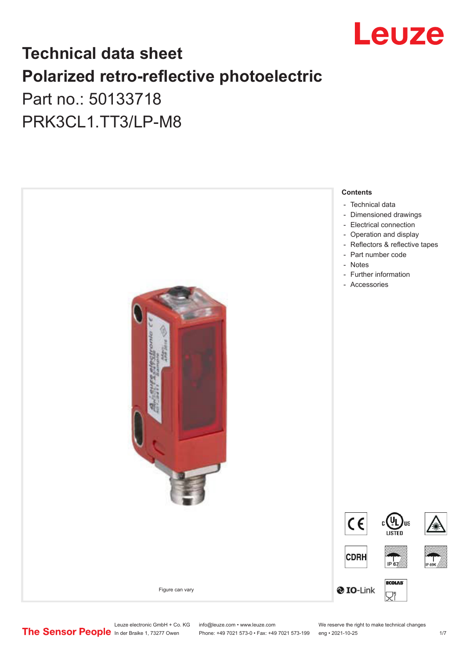

## **Technical data sheet Polarized retro-reflective photoelectric**  Part no.: 50133718

PRK3CL1.TT3/LP-M8



Leuze electronic GmbH + Co. KG info@leuze.com • www.leuze.com We reserve the right to make technical changes<br>
The Sensor People in der Braike 1, 73277 Owen Phone: +49 7021 573-0 • Fax: +49 7021 573-199 eng • 2021-10-25

Phone: +49 7021 573-0 • Fax: +49 7021 573-199 eng • 2021-10-25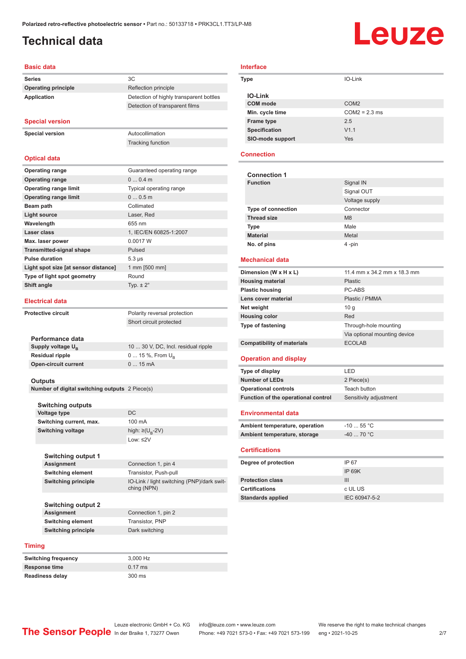## <span id="page-1-0"></span>**Technical data**

# Leuze

#### **Basic data**

| <b>Series</b>              |    |
|----------------------------|----|
| <b>Operating principle</b> | Re |
| Application                | )e |

#### **Special version**

**Special version** Autocollimation

Tracking function

**Operating principle** Reflection principle

**Detection of highly transparent bottles** Detection of transparent films

#### **Optical data**

| <b>Operating range</b>               | Guaranteed operating range |
|--------------------------------------|----------------------------|
| <b>Operating range</b>               | $00.4$ m                   |
| <b>Operating range limit</b>         | Typical operating range    |
| <b>Operating range limit</b>         | 00.5m                      |
| Beam path                            | Collimated                 |
| <b>Light source</b>                  | Laser, Red                 |
| Wavelength                           | 655 nm                     |
| Laser class                          | 1, IEC/EN 60825-1:2007     |
| Max. laser power                     | 0.0017 W                   |
| <b>Transmitted-signal shape</b>      | Pulsed                     |
| <b>Pulse duration</b>                | $5.3 \,\mu s$              |
| Light spot size [at sensor distance] | 1 mm [500 mm]              |
| Type of light spot geometry          | Round                      |
| Shift angle                          | Typ. $\pm 2^{\circ}$       |
|                                      |                            |

#### **Electrical data**

**Protective circuit** Polarity reversal protection

| Performance data              |                                     |
|-------------------------------|-------------------------------------|
| Supply voltage U <sub>p</sub> | 10  30 V, DC, Incl. residual ripple |
| <b>Residual ripple</b>        | $0 15 \%$ , From $U_{p}$            |
| <b>Open-circuit current</b>   | $015$ mA                            |
|                               |                                     |

Short circuit protected

#### **Outputs**

**Number of digital switching outputs** 2 Piece(s)

| <b>Switching outputs</b> |                                   |
|--------------------------|-----------------------------------|
| <b>Voltage type</b>      | DC.                               |
| Switching current, max.  | $100 \text{ mA}$                  |
| <b>Switching voltage</b> | high: $\geq$ (U <sub>B</sub> -2V) |
|                          | Low: $\leq$ 2V                    |

| Switching output 1       |                                                           |
|--------------------------|-----------------------------------------------------------|
| <b>Assignment</b>        | Connection 1, pin 4                                       |
| <b>Switching element</b> | Transistor, Push-pull                                     |
| Switching principle      | IO-Link / light switching (PNP)/dark swit-<br>ching (NPN) |

Connection 1, pin 2 **Switching element** Transistor, PNP

| <b>Switching output 2</b> |
|---------------------------|
| <b>Assignment</b>         |
| <b>Switching element</b>  |
| Switching principle       |

| _  _                |                |
|---------------------|----------------|
| Switching principle | Dark switching |
|                     |                |
| <b>Timing</b>       |                |

| <b>Switching frequency</b> | 3.000 Hz  |
|----------------------------|-----------|
| Response time              | $0.17$ ms |
| <b>Readiness delay</b>     | 300 ms    |

### **Interface**

| Type             | IO-Link          |  |
|------------------|------------------|--|
| <b>IO-Link</b>   |                  |  |
| <b>COM</b> mode  | COM <sub>2</sub> |  |
| Min. cycle time  | $COM2 = 2.3$ ms  |  |
| Frame type       | 2.5              |  |
| Specification    | V1.1             |  |
| SIO-mode support | <b>Yes</b>       |  |

#### **Connection**

| <b>Connection 1</b>       |                |
|---------------------------|----------------|
| <b>Function</b>           | Signal IN      |
|                           | Signal OUT     |
|                           | Voltage supply |
| <b>Type of connection</b> | Connector      |
| <b>Thread size</b>        | M8             |
| <b>Type</b>               | Male           |
| <b>Material</b>           | Metal          |
| No. of pins               | 4-pin          |

#### **Mechanical data**

| Dimension (W x H x L)             | 11.4 mm x 34.2 mm x 18.3 mm  |
|-----------------------------------|------------------------------|
| <b>Housing material</b>           | <b>Plastic</b>               |
| <b>Plastic housing</b>            | PC-ABS                       |
| Lens cover material               | Plastic / PMMA               |
| Net weight                        | 10q                          |
| <b>Housing color</b>              | Red                          |
| <b>Type of fastening</b>          | Through-hole mounting        |
|                                   | Via optional mounting device |
| <b>Compatibility of materials</b> | <b>ECOLAB</b>                |

#### **Operation and display**

| Type of display                     | I FD.                  |
|-------------------------------------|------------------------|
| Number of LEDs                      | 2 Piece(s)             |
| <b>Operational controls</b>         | Teach button           |
| Function of the operational control | Sensitivity adjustment |

#### **Environmental data**

| Ambient temperature, operation | $-10$ 55 °C $\,$ |
|--------------------------------|------------------|
| Ambient temperature, storage   | -40  70 °C       |
|                                |                  |

#### **Certifications**

| Degree of protection     | IP 67         |
|--------------------------|---------------|
|                          | IP 69K        |
| <b>Protection class</b>  | Ш             |
| <b>Certifications</b>    | c UL US       |
| <b>Standards applied</b> | IEC 60947-5-2 |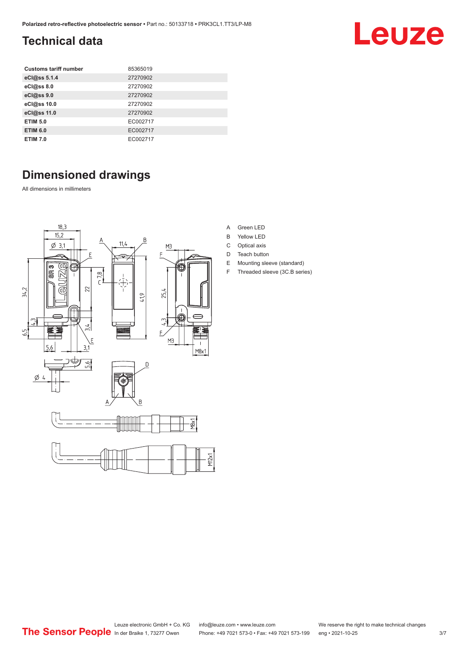## <span id="page-2-0"></span>**Technical data**

| <b>Customs tariff number</b> | 85365019 |
|------------------------------|----------|
| eCl@ss 5.1.4                 | 27270902 |
| eCl@ss 8.0                   | 27270902 |
| eCl@ss 9.0                   | 27270902 |
| eCl@ss 10.0                  | 27270902 |
| eCl@ss 11.0                  | 27270902 |
| <b>ETIM 5.0</b>              | EC002717 |
| <b>ETIM 6.0</b>              | EC002717 |
| <b>ETIM 7.0</b>              | EC002717 |

## **Dimensioned drawings**

All dimensions in millimeters



- A Green LED
- B Yellow LED
- C Optical axis
- D Teach button
- E Mounting sleeve (standard)
- F Threaded sleeve (3C.B series)

**Leuze**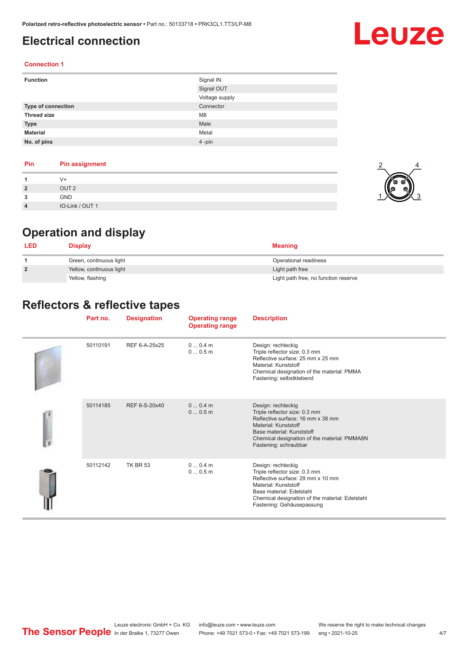## <span id="page-3-0"></span>**Electrical connection**

## Leuze

#### **Connection 1**

| <b>Function</b>    | Signal IN      |
|--------------------|----------------|
|                    | Signal OUT     |
|                    | Voltage supply |
| Type of connection | Connector      |
| <b>Thread size</b> | M <sub>8</sub> |
| <b>Type</b>        | Male           |
| <b>Material</b>    | Metal          |
| No. of pins        | 4-pin          |

| Pin                     | <b>Pin assignment</b> |
|-------------------------|-----------------------|
|                         | V+                    |
| $\overline{2}$          | OUT <sub>2</sub>      |
| 3<br>J                  | <b>GND</b>            |
| $\overline{\mathbf{4}}$ | IO-Link / OUT 1       |



## **Operation and display**

| <b>LED</b>     | Display                  | <b>Meaning</b>                       |
|----------------|--------------------------|--------------------------------------|
|                | Green, continuous light  | Operational readiness                |
| $\overline{2}$ | Yellow, continuous light | Light path free                      |
|                | Yellow, flashing         | Light path free, no function reserve |

## **Reflectors & reflective tapes**

|  | Part no. | <b>Designation</b> | <b>Operating range</b><br><b>Operating range</b> | <b>Description</b>                                                                                                                                                                                                           |
|--|----------|--------------------|--------------------------------------------------|------------------------------------------------------------------------------------------------------------------------------------------------------------------------------------------------------------------------------|
|  | 50110191 | REF 6-A-25x25      | $00.4$ m<br>00.5m                                | Design: rechteckig<br>Triple reflector size: 0.3 mm<br>Reflective surface: 25 mm x 25 mm<br>Material: Kunststoff<br>Chemical designation of the material: PMMA<br>Fastening: selbstklebend                                   |
|  | 50114185 | REF 6-S-20x40      | 00.4m<br>00.5m                                   | Design: rechteckig<br>Triple reflector size: 0.3 mm<br>Reflective surface: 16 mm x 38 mm<br>Material: Kunststoff<br>Base material: Kunststoff<br>Chemical designation of the material: PMMA8N<br>Fastening: schraubbar       |
|  | 50112142 | <b>TK BR 53</b>    | $00.4$ m<br>00.5m                                | Design: rechteckig<br>Triple reflector size: 0.3 mm<br>Reflective surface: 29 mm x 10 mm<br>Material: Kunststoff<br>Base material: Edelstahl<br>Chemical designation of the material: Edelstahl<br>Fastening: Gehäusepassung |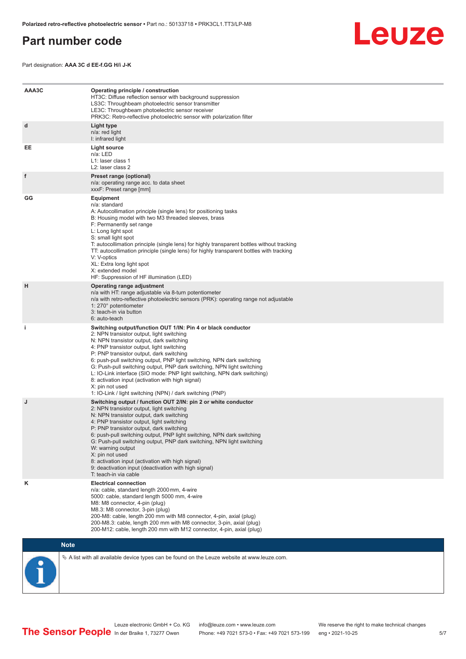## <span id="page-4-0"></span>**Part number code**

Leuze

Part designation: **AAA 3C d EE-f.GG H/i J-K**

| AAA3C | Operating principle / construction<br>HT3C: Diffuse reflection sensor with background suppression<br>LS3C: Throughbeam photoelectric sensor transmitter<br>LE3C: Throughbeam photoelectric sensor receiver<br>PRK3C: Retro-reflective photoelectric sensor with polarization filter                                                                                                                                                                                                                                                                                                                                 |
|-------|---------------------------------------------------------------------------------------------------------------------------------------------------------------------------------------------------------------------------------------------------------------------------------------------------------------------------------------------------------------------------------------------------------------------------------------------------------------------------------------------------------------------------------------------------------------------------------------------------------------------|
| d     | Light type<br>n/a: red light<br>I: infrared light                                                                                                                                                                                                                                                                                                                                                                                                                                                                                                                                                                   |
| EE    | Light source<br>n/a: LED<br>L1: laser class 1<br>L2: laser class 2                                                                                                                                                                                                                                                                                                                                                                                                                                                                                                                                                  |
| f     | Preset range (optional)<br>n/a: operating range acc. to data sheet<br>xxxF: Preset range [mm]                                                                                                                                                                                                                                                                                                                                                                                                                                                                                                                       |
| GG    | <b>Equipment</b><br>n/a: standard<br>A: Autocollimation principle (single lens) for positioning tasks<br>B: Housing model with two M3 threaded sleeves, brass<br>F: Permanently set range<br>L: Long light spot<br>S: small light spot<br>T: autocollimation principle (single lens) for highly transparent bottles without tracking<br>TT: autocollimation principle (single lens) for highly transparent bottles with tracking<br>V: V-optics<br>XL: Extra long light spot<br>X: extended model<br>HF: Suppression of HF illumination (LED)                                                                       |
| H     | Operating range adjustment<br>n/a with HT: range adjustable via 8-turn potentiometer<br>n/a with retro-reflective photoelectric sensors (PRK): operating range not adjustable<br>1: 270° potentiometer<br>3: teach-in via button<br>6: auto-teach                                                                                                                                                                                                                                                                                                                                                                   |
| j.    | Switching output/function OUT 1/IN: Pin 4 or black conductor<br>2: NPN transistor output, light switching<br>N: NPN transistor output, dark switching<br>4: PNP transistor output, light switching<br>P: PNP transistor output, dark switching<br>6: push-pull switching output, PNP light switching, NPN dark switching<br>G: Push-pull switching output, PNP dark switching, NPN light switching<br>L: IO-Link interface (SIO mode: PNP light switching, NPN dark switching)<br>8: activation input (activation with high signal)<br>X: pin not used<br>1: IO-Link / light switching (NPN) / dark switching (PNP) |
| J     | Switching output / function OUT 2/IN: pin 2 or white conductor<br>2: NPN transistor output, light switching<br>N: NPN transistor output, dark switching<br>4: PNP transistor output, light switching<br>P: PNP transistor output, dark switching<br>6: push-pull switching output, PNP light switching, NPN dark switching<br>G: Push-pull switching output, PNP dark switching, NPN light switching<br>W: warning output<br>X: pin not used<br>8: activation input (activation with high signal)<br>9: deactivation input (deactivation with high signal)<br>T: teach-in via cable                                 |
| κ     | <b>Electrical connection</b><br>n/a: cable, standard length 2000 mm, 4-wire<br>5000: cable, standard length 5000 mm, 4-wire<br>M8: M8 connector, 4-pin (plug)<br>M8.3: M8 connector, 3-pin (plug)<br>200-M8: cable, length 200 mm with M8 connector, 4-pin, axial (plug)<br>200-M8.3: cable, length 200 mm with M8 connector, 3-pin, axial (plug)<br>200-M12: cable, length 200 mm with M12 connector, 4-pin, axial (plug)                                                                                                                                                                                          |

### **Note**

 $\%$  A list with all available device types can be found on the Leuze website at www.leuze.com.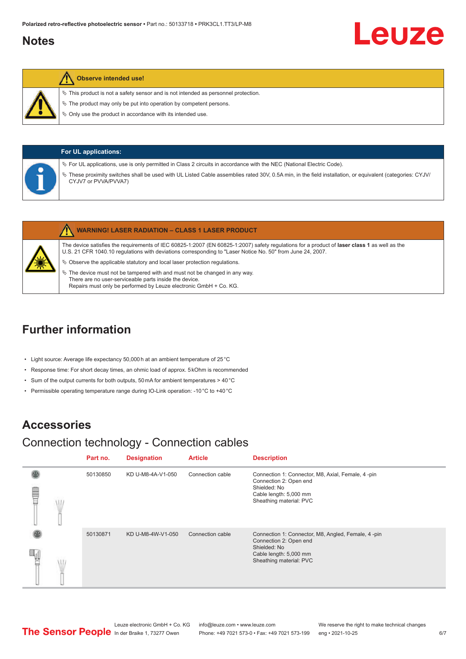## <span id="page-5-0"></span>**Notes**

#### **Observe intended use!**

 $\%$  This product is not a safety sensor and is not intended as personnel protection.

 $\%$  The product may only be put into operation by competent persons.

 $\%$  Only use the product in accordance with its intended use.

| <b>For UL applications:</b>                                                                                                                                                                                                                                                                                              |
|--------------------------------------------------------------------------------------------------------------------------------------------------------------------------------------------------------------------------------------------------------------------------------------------------------------------------|
| $\%$ For UL applications, use is only permitted in Class 2 circuits in accordance with the NEC (National Electric Code).<br>These proximity switches shall be used with UL Listed Cable assemblies rated 30V, 0.5A min, in the field installation, or equivalent (categories: CYJV/<br>$\varphi$<br>CYJV7 or PVVA/PVVA7) |

|   | <b>WARNING! LASER RADIATION - CLASS 1 LASER PRODUCT</b>                                                                                                                                                                                                    |
|---|------------------------------------------------------------------------------------------------------------------------------------------------------------------------------------------------------------------------------------------------------------|
|   | The device satisfies the requirements of IEC 60825-1:2007 (EN 60825-1:2007) safety regulations for a product of laser class 1 as well as the<br>U.S. 21 CFR 1040.10 regulations with deviations corresponding to "Laser Notice No. 50" from June 24, 2007. |
| ★ | $\&$ Observe the applicable statutory and local laser protection regulations.                                                                                                                                                                              |
|   | $\%$ The device must not be tampered with and must not be changed in any way.<br>There are no user-serviceable parts inside the device.                                                                                                                    |

## **Further information**

- Light source: Average life expectancy 50,000 h at an ambient temperature of 25 °C
- Response time: For short decay times, an ohmic load of approx. 5 kOhm is recommended

Repairs must only be performed by Leuze electronic GmbH + Co. KG.

- Sum of the output currents for both outputs, 50 mA for ambient temperatures > 40 °C
- Permissible operating temperature range during IO-Link operation: -10 °C to +40 °C

## **Accessories**

## Connection technology - Connection cables

|   | Part no. | <b>Designation</b> | <b>Article</b>   | <b>Description</b>                                                                                                                                |
|---|----------|--------------------|------------------|---------------------------------------------------------------------------------------------------------------------------------------------------|
| Ü | 50130850 | KD U-M8-4A-V1-050  | Connection cable | Connection 1: Connector, M8, Axial, Female, 4-pin<br>Connection 2: Open end<br>Shielded: No<br>Cable length: 5,000 mm<br>Sheathing material: PVC  |
|   | 50130871 | KD U-M8-4W-V1-050  | Connection cable | Connection 1: Connector, M8, Angled, Female, 4-pin<br>Connection 2: Open end<br>Shielded: No<br>Cable length: 5,000 mm<br>Sheathing material: PVC |

Leuze